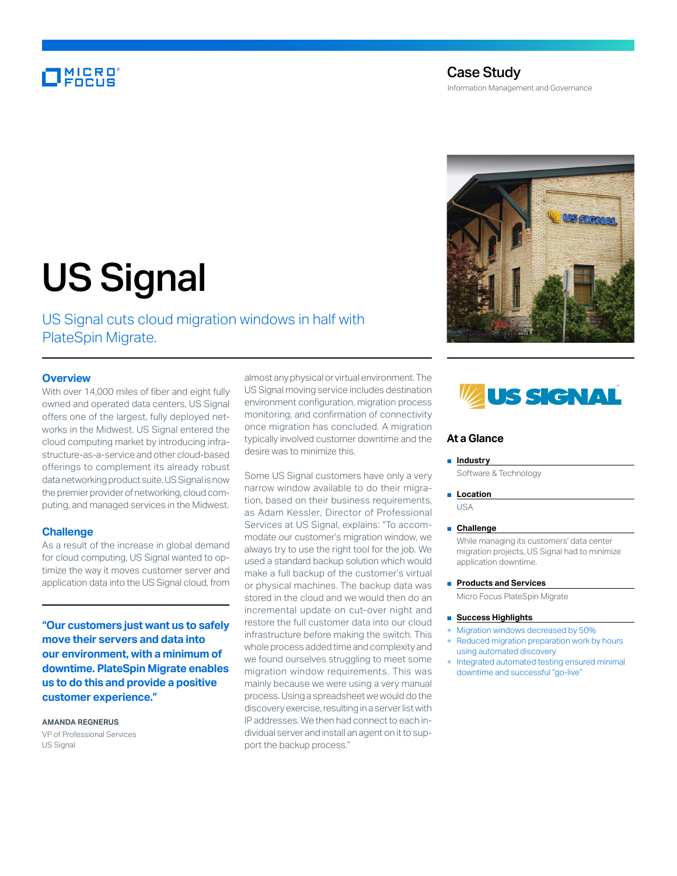# **MICRO**

# Case Study Information Management and Governance



# US Signal

US Signal cuts cloud migration windows in half with PlateSpin Migrate.

## **Overview**

With over 14,000 miles of fiber and eight fully owned and operated data centers, US Signal offers one of the largest, fully deployed networks in the Midwest. US Signal entered the cloud computing market by introducing infrastructure-as-a-service and other cloud-based offerings to complement its already robust data networking product suite. US Signal is now the premier provider of networking, cloud computing, and managed services in the Midwest.

#### **Challenge**

As a result of the increase in global demand for cloud computing, US Signal wanted to optimize the way it moves customer server and application data into the US Signal cloud, from

**"Our customers just want us to safely move their servers and data into our environment, with a minimum of downtime. PlateSpin Migrate enables us to do this and provide a positive customer experience."**

**AMANDA REGNERUS** VP of Professional Services US Signal

almost any physical or virtual environment. The US Signal moving service includes destination environment configuration, migration process monitoring, and confirmation of connectivity once migration has concluded. A migration typically involved customer downtime and the desire was to minimize this.

Some US Signal customers have only a very narrow window available to do their migration, based on their business requirements, as Adam Kessler, Director of Professional Services at US Signal, explains: "To accommodate our customer's migration window, we always try to use the right tool for the job. We used a standard backup solution which would make a full backup of the customer's virtual or physical machines. The backup data was stored in the cloud and we would then do an incremental update on cut-over night and restore the full customer data into our cloud infrastructure before making the switch. This whole process added time and complexity and we found ourselves struggling to meet some migration window requirements. This was mainly because we were using a very manual process. Using a spreadsheet we would do the discovery exercise, resulting in a server list with IP addresses. We then had connect to each individual server and install an agent on it to support the backup process."



### **At a Glance**

#### ■ **Industry**

Software & Technology

#### ■ **Location**

USA

#### ■ **Challenge**

While managing its customers' data center migration projects, US Signal had to minimize application downtime.

#### ■ **Products and Services**

Micro Focus PlateSpin Migrate

#### ■ **Success Highlights**

- Migration windows decreased by 50%
- Reduced migration preparation work by hours using automated discovery
- Integrated automated testing ensured minimal downtime and successful "go-live"